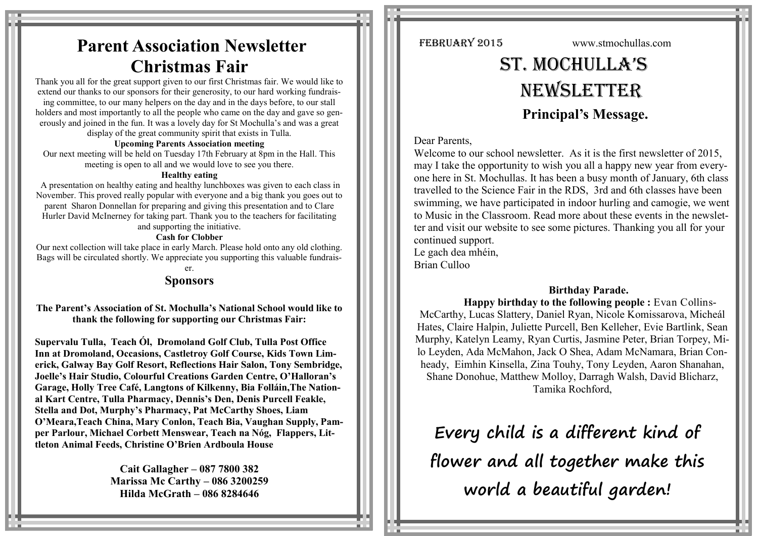## **Parent Association Newsletter Christmas Fair**

Thank you all for the great support given to our first Christmas fair. We would like to extend our thanks to our sponsors for their generosity, to our hard working fundraising committee, to our many helpers on the day and in the days before, to our stall holders and most importantly to all the people who came on the day and gave so generously and joined in the fun. It was a lovely day for St Mochulla's and was a great display of the great community spirit that exists in Tulla.

#### **Upcoming Parents Association meeting**

Our next meeting will be held on Tuesday 17th February at 8pm in the Hall. This meeting is open to all and we would love to see you there.

#### **Healthy eating**

A presentation on healthy eating and healthy lunchboxes was given to each class in November. This proved really popular with everyone and a big thank you goes out to parent Sharon Donnellan for preparing and giving this presentation and to Clare Hurler David McInerney for taking part. Thank you to the teachers for facilitating and supporting the initiative.

#### **Cash for Clobber**

Our next collection will take place in early March. Please hold onto any old clothing. Bags will be circulated shortly. We appreciate you supporting this valuable fundrais-

## er.

## **Sponsors**

**The Parent's Association of St. Mochulla's National School would like to thank the following for supporting our Christmas Fair:**

**Supervalu Tulla, Teach Ól, Dromoland Golf Club, Tulla Post Office Inn at Dromoland, Occasions, Castletroy Golf Course, Kids Town Limerick, Galway Bay Golf Resort, Reflections Hair Salon, Tony Sembridge, Joelle's Hair Studio, Colourful Creations Garden Centre, O'Halloran's Garage, Holly Tree Café, Langtons of Kilkenny, Bia Folláin,The National Kart Centre, Tulla Pharmacy, Dennis's Den, Denis Purcell Feakle, Stella and Dot, Murphy's Pharmacy, Pat McCarthy Shoes, Liam O'Meara,Teach China, Mary Conlon, Teach Bia, Vaughan Supply, Pamper Parlour, Michael Corbett Menswear, Teach na Nóg, Flappers, Littleton Animal Feeds, Christine O'Brien Ardboula House**

> **Cait Gallagher – 087 7800 382 Marissa Mc Carthy – 086 3200259 Hilda McGrath – 086 8284646**

FEBRUARY 2015 www.stmochullas.com

# St. Mochulla'S **NEWSLETTER Principal's Message.**

## Dear Parents,

Welcome to our school newsletter. As it is the first newsletter of 2015. may I take the opportunity to wish you all a happy new year from everyone here in St. Mochullas. It has been a busy month of January, 6th class travelled to the Science Fair in the RDS, 3rd and 6th classes have been swimming, we have participated in indoor hurling and camogie, we went to Music in the Classroom. Read more about these events in the newsletter and visit our website to see some pictures. Thanking you all for your continued support. Le gach dea mhéin,

Brian Culloo

## **Birthday Parade.**

**Happy birthday to the following people :** Evan Collins-McCarthy, Lucas Slattery, Daniel Ryan, Nicole Komissarova, Micheál Hates, Claire Halpin, Juliette Purcell, Ben Kelleher, Evie Bartlink, Sean Murphy, Katelyn Leamy, Ryan Curtis, Jasmine Peter, Brian Torpey, Milo Leyden, Ada McMahon, Jack O Shea, Adam McNamara, Brian Conheady, Eimhin Kinsella, Zina Touhy, Tony Leyden, Aaron Shanahan, Shane Donohue, Matthew Molloy, Darragh Walsh, David Blicharz, Tamika Rochford,

**Every child is a different kind of flower and all together make this world a beautiful garden!**